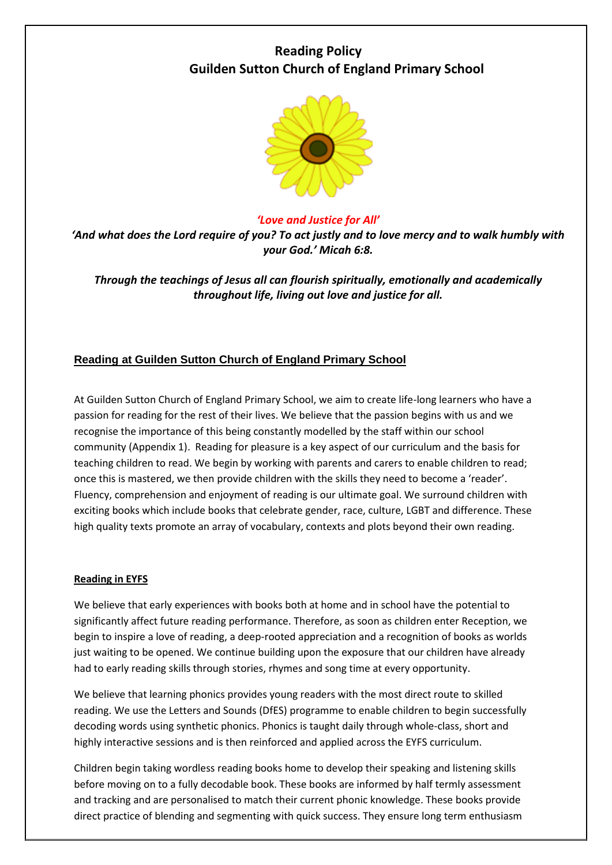# **Reading Policy Guilden Sutton Church of England Primary School**



### *'Love and Justice for All'*

*'And what does the Lord require of you? To act justly and to love mercy and to walk humbly with your God.' Micah 6:8.*

*Through the teachings of Jesus all can flourish spiritually, emotionally and academically throughout life, living out love and justice for all.*

## **Reading at Guilden Sutton Church of England Primary School**

At Guilden Sutton Church of England Primary School, we aim to create life-long learners who have a passion for reading for the rest of their lives. We believe that the passion begins with us and we recognise the importance of this being constantly modelled by the staff within our school community (Appendix 1). Reading for pleasure is a key aspect of our curriculum and the basis for teaching children to read. We begin by working with parents and carers to enable children to read; once this is mastered, we then provide children with the skills they need to become a 'reader'. Fluency, comprehension and enjoyment of reading is our ultimate goal. We surround children with exciting books which include books that celebrate gender, race, culture, LGBT and difference. These high quality texts promote an array of vocabulary, contexts and plots beyond their own reading.

### **Reading in EYFS**

We believe that early experiences with books both at home and in school have the potential to significantly affect future reading performance. Therefore, as soon as children enter Reception, we begin to inspire a love of reading, a deep-rooted appreciation and a recognition of books as worlds just waiting to be opened. We continue building upon the exposure that our children have already had to early reading skills through stories, rhymes and song time at every opportunity.

We believe that learning phonics provides young readers with the [most direct route to skilled](http://dera.ioe.ac.uk/5551/2/report.pdf)  [reading.](http://dera.ioe.ac.uk/5551/2/report.pdf) We use the Letters and Sounds (DfES) programme to enable children to begin successfully decoding words using synthetic phonics. Phonics is taught daily through whole-class, short and highly interactive sessions and is then reinforced and applied across the EYFS curriculum.

Children begin taking wordless reading books home to develop their speaking and listening skills before moving on to a fully decodable book. These books are informed by half termly assessment and tracking and are personalised to match their current phonic knowledge. These books provide direct practice of blending and segmenting with quick success. They ensure long term enthusiasm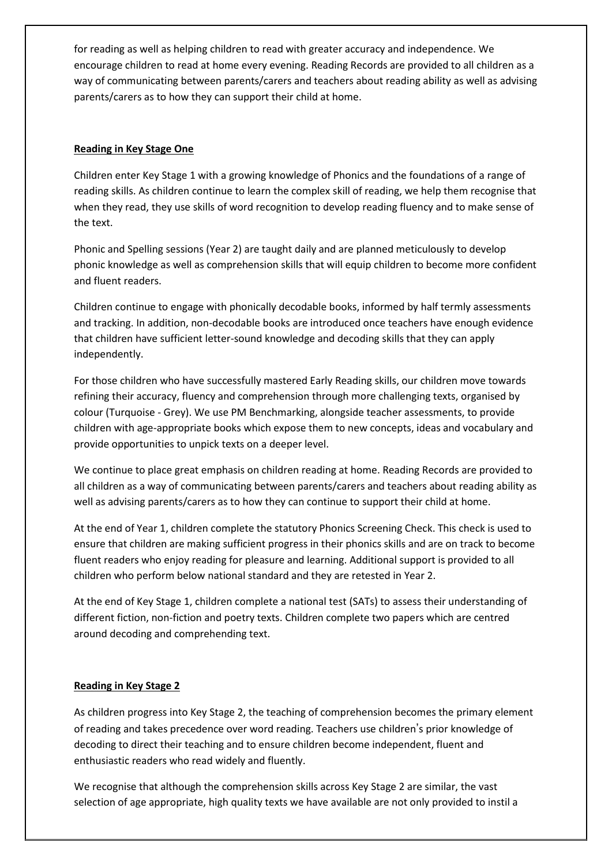for reading as well as helping children to read with greater accuracy and independence. We encourage children to read at home every evening. Reading Records are provided to all children as a way of communicating between parents/carers and teachers about reading ability as well as advising parents/carers as to how they can support their child at home.

### **Reading in Key Stage One**

Children enter Key Stage 1 with a growing knowledge of Phonics and the foundations of a range of reading skills. As children continue to learn the complex skill of reading, we help them recognise that when they read, they use skills of word recognition to develop reading fluency and to make sense of the text.

Phonic and Spelling sessions (Year 2) are taught daily and are planned meticulously to develop phonic knowledge as well as comprehension skills that will equip children to become more confident and fluent readers.

Children continue to engage with phonically decodable books, informed by half termly assessments and tracking. In addition, non-decodable books are introduced once teachers have enough evidence that children have sufficient letter-sound knowledge and decoding skills that they can apply independently.

For those children who have successfully mastered Early Reading skills, our children move towards refining their accuracy, fluency and comprehension through more challenging texts, organised by colour (Turquoise - Grey). We use PM Benchmarking, alongside teacher assessments, to provide children with age-appropriate books which expose them to new concepts, ideas and vocabulary and provide opportunities to unpick texts on a deeper level.

We continue to place great emphasis on children reading at home. Reading Records are provided to all children as a way of communicating between parents/carers and teachers about reading ability as well as advising parents/carers as to how they can continue to support their child at home.

At the end of Year 1, children complete the statutory Phonics Screening Check. This check is used to ensure that children are making sufficient progress in their phonics skills and are on track to become fluent readers who enjoy reading for pleasure and learning. Additional support is provided to all children who perform below national standard and they are retested in Year 2.

At the end of Key Stage 1, children complete a national test (SATs) to assess their understanding of different fiction, non-fiction and poetry texts. Children complete two papers which are centred around decoding and comprehending text.

### **Reading in Key Stage 2**

As children progress into Key Stage 2, the teaching of comprehension becomes the primary element of reading and takes precedence over word reading. Teachers use children's prior knowledge of decoding to direct their teaching and to ensure children become independent, fluent and enthusiastic readers who read widely and fluently.

We recognise that although the comprehension skills across Key Stage 2 are similar, the vast selection of age appropriate, high quality texts we have available are not only provided to instil a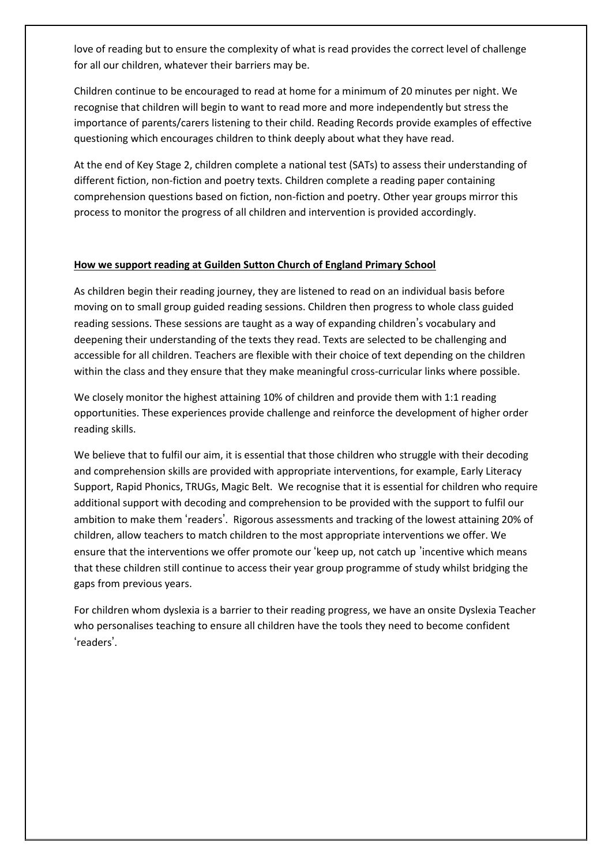love of reading but to ensure the complexity of what is read provides the correct level of challenge for all our children, whatever their barriers may be.

Children continue to be encouraged to read at home for a minimum of 20 minutes per night. We recognise that children will begin to want to read more and more independently but stress the importance of parents/carers listening to their child. Reading Records provide examples of effective questioning which encourages children to think deeply about what they have read.

At the end of Key Stage 2, children complete a national test (SATs) to assess their understanding of different fiction, non-fiction and poetry texts. Children complete a reading paper containing comprehension questions based on fiction, non-fiction and poetry. Other year groups mirror this process to monitor the progress of all children and intervention is provided accordingly.

### **How we support reading at Guilden Sutton Church of England Primary School**

As children begin their reading journey, they are listened to read on an individual basis before moving on to small group guided reading sessions. Children then progress to whole class guided reading sessions. These sessions are taught as a way of expanding children's vocabulary and deepening their understanding of the texts they read. Texts are selected to be challenging and accessible for all children. Teachers are flexible with their choice of text depending on the children within the class and they ensure that they make meaningful cross-curricular links where possible.

We closely monitor the highest attaining 10% of children and provide them with 1:1 reading opportunities. These experiences provide challenge and reinforce the development of higher order reading skills.

We believe that to fulfil our aim, it is essential that those children who struggle with their decoding and comprehension skills are provided with appropriate interventions, for example, Early Literacy Support, Rapid Phonics, TRUGs, Magic Belt. We recognise that it is essential for children who require additional support with decoding and comprehension to be provided with the support to fulfil our ambition to make them 'readers'. Rigorous assessments and tracking of the lowest attaining 20% of children, allow teachers to match children to the most appropriate interventions we offer. We ensure that the interventions we offer promote our 'keep up, not catch up 'incentive which means that these children still continue to access their year group programme of study whilst bridging the gaps from previous years.

For children whom dyslexia is a barrier to their reading progress, we have an onsite Dyslexia Teacher who personalises teaching to ensure all children have the tools they need to become confident 'readers'.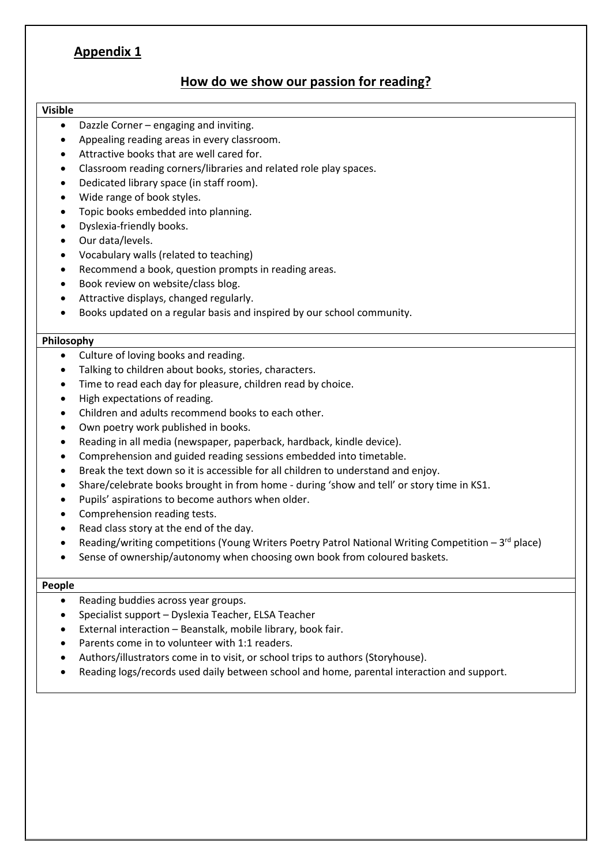# **Appendix 1**

## **How do we show our passion for reading?**

### **Visible**

- Dazzle Corner engaging and inviting.
- Appealing reading areas in every classroom.
- Attractive books that are well cared for.
- Classroom reading corners/libraries and related role play spaces.
- Dedicated library space (in staff room).
- Wide range of book styles.
- Topic books embedded into planning.
- Dyslexia-friendly books.
- Our data/levels.
- Vocabulary walls (related to teaching)
- Recommend a book, question prompts in reading areas.
- Book review on website/class blog.
- Attractive displays, changed regularly.
- Books updated on a regular basis and inspired by our school community.

### **Philosophy**

- Culture of loving books and reading.
- Talking to children about books, stories, characters.
- Time to read each day for pleasure, children read by choice.
- High expectations of reading.
- Children and adults recommend books to each other.
- Own poetry work published in books.
- Reading in all media (newspaper, paperback, hardback, kindle device).
- Comprehension and guided reading sessions embedded into timetable.
- Break the text down so it is accessible for all children to understand and enjoy.
- Share/celebrate books brought in from home during 'show and tell' or story time in KS1.
- Pupils' aspirations to become authors when older.
- Comprehension reading tests.
- Read class story at the end of the day.
- Reading/writing competitions (Young Writers Poetry Patrol National Writing Competition  $-3^{rd}$  place)
- Sense of ownership/autonomy when choosing own book from coloured baskets.

#### **People**

- Reading buddies across year groups.
- Specialist support Dyslexia Teacher, ELSA Teacher
- External interaction Beanstalk, mobile library, book fair.
- Parents come in to volunteer with 1:1 readers.
- Authors/illustrators come in to visit, or school trips to authors (Storyhouse).
- Reading logs/records used daily between school and home, parental interaction and support.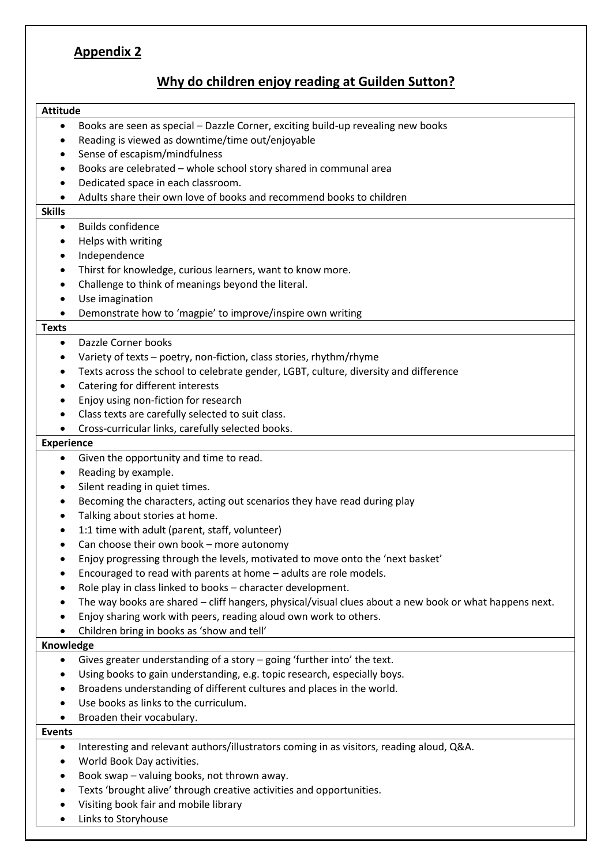# **Appendix 2**

## **Why do children enjoy reading at Guilden Sutton?**

## **Attitude** Books are seen as special – Dazzle Corner, exciting build-up revealing new books Reading is viewed as downtime/time out/enjoyable • Sense of escapism/mindfulness Books are celebrated – whole school story shared in communal area • Dedicated space in each classroom. Adults share their own love of books and recommend books to children **Skills** • Builds confidence • Helps with writing • Independence Thirst for knowledge, curious learners, want to know more. Challenge to think of meanings beyond the literal. Use imagination Demonstrate how to 'magpie' to improve/inspire own writing **Texts** Dazzle Corner books Variety of texts – poetry, non-fiction, class stories, rhythm/rhyme Texts across the school to celebrate gender, LGBT, culture, diversity and difference Catering for different interests • Enjoy using non-fiction for research Class texts are carefully selected to suit class. Cross-curricular links, carefully selected books. **Experience** Given the opportunity and time to read. Reading by example. Silent reading in quiet times. Becoming the characters, acting out scenarios they have read during play • Talking about stories at home. 1:1 time with adult (parent, staff, volunteer) Can choose their own book – more autonomy Enjoy progressing through the levels, motivated to move onto the 'next basket' Encouraged to read with parents at home – adults are role models. Role play in class linked to books – character development. The way books are shared – cliff hangers, physical/visual clues about a new book or what happens next. Enjoy sharing work with peers, reading aloud own work to others. Children bring in books as 'show and tell' **Knowledge** Gives greater understanding of a story – going 'further into' the text. Using books to gain understanding, e.g. topic research, especially boys. Broadens understanding of different cultures and places in the world. Use books as links to the curriculum. Broaden their vocabulary. **Events** • Interesting and relevant authors/illustrators coming in as visitors, reading aloud, Q&A. World Book Day activities. Book swap – valuing books, not thrown away. Texts 'brought alive' through creative activities and opportunities.

- Visiting book fair and mobile library
- Links to Storyhouse